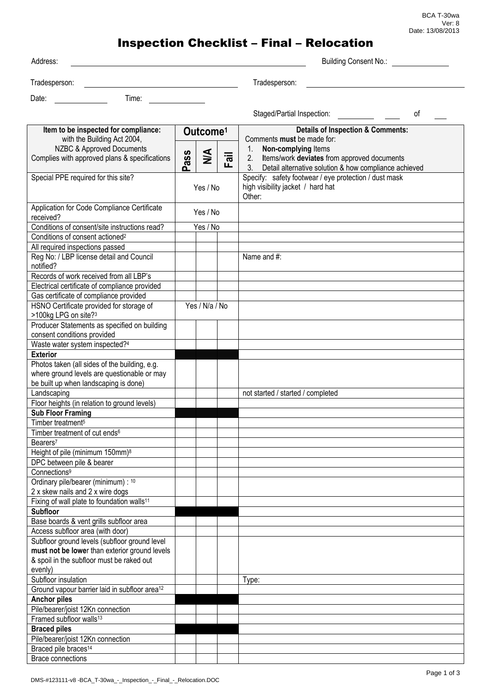BCA T-30wa Ver: 8 Date: 13/08/2013

## Inspection Checklist – Final – Relocation

| Address:                                                                     |                      |                |      | Building Consent No.:                                                                                          |    |
|------------------------------------------------------------------------------|----------------------|----------------|------|----------------------------------------------------------------------------------------------------------------|----|
| Tradesperson:                                                                |                      |                |      | Tradesperson:                                                                                                  |    |
| Time:<br>Date:                                                               |                      |                |      |                                                                                                                |    |
|                                                                              |                      |                |      |                                                                                                                |    |
|                                                                              |                      |                |      |                                                                                                                | οf |
| Item to be inspected for compliance:                                         | Outcome <sup>1</sup> |                |      | <b>Details of Inspection &amp; Comments:</b><br>Comments must be made for:                                     |    |
| with the Building Act 2004,<br><b>NZBC &amp; Approved Documents</b>          |                      |                |      | $1_{\cdot}$<br>Non-complying Items                                                                             |    |
| Complies with approved plans & specifications                                | ass                  | $\leq$         | Fail | 2.<br>Items/work deviates from approved documents<br>3 <sub>1</sub>                                            |    |
| Special PPE required for this site?                                          | ൎ                    |                |      | Detail alternative solution & how compliance achieved<br>Specify: safety footwear / eye protection / dust mask |    |
|                                                                              | Yes / No             |                |      | high visibility jacket / hard hat<br>Other:                                                                    |    |
| Application for Code Compliance Certificate<br>received?                     | Yes / No             |                |      |                                                                                                                |    |
| Conditions of consent/site instructions read?                                | Yes / No             |                |      |                                                                                                                |    |
| Conditions of consent actioned <sup>2</sup>                                  |                      |                |      |                                                                                                                |    |
| All required inspections passed                                              |                      |                |      |                                                                                                                |    |
| Reg No: / LBP license detail and Council<br>notified?                        |                      |                |      | Name and #:                                                                                                    |    |
| Records of work received from all LBP's                                      |                      |                |      |                                                                                                                |    |
| Electrical certificate of compliance provided                                |                      |                |      |                                                                                                                |    |
| Gas certificate of compliance provided                                       |                      |                |      |                                                                                                                |    |
| HSNO Certificate provided for storage of<br>>100kg LPG on site? <sup>3</sup> |                      | Yes / N/a / No |      |                                                                                                                |    |
| Producer Statements as specified on building<br>consent conditions provided  |                      |                |      |                                                                                                                |    |
| Waste water system inspected?4                                               |                      |                |      |                                                                                                                |    |
| <b>Exterior</b>                                                              |                      |                |      |                                                                                                                |    |
| Photos taken (all sides of the building, e.g.                                |                      |                |      |                                                                                                                |    |
| where ground levels are questionable or may                                  |                      |                |      |                                                                                                                |    |
| be built up when landscaping is done)<br>Landscaping                         |                      |                |      | not started / started / completed                                                                              |    |
| Floor heights (in relation to ground levels)                                 |                      |                |      |                                                                                                                |    |
| <b>Sub Floor Framing</b>                                                     |                      |                |      |                                                                                                                |    |
| Timber treatment <sup>5</sup>                                                |                      |                |      |                                                                                                                |    |
| Timber treatment of cut ends <sup>6</sup>                                    |                      |                |      |                                                                                                                |    |
| Bearers <sup>7</sup>                                                         |                      |                |      |                                                                                                                |    |
| Height of pile (minimum 150mm) <sup>8</sup>                                  |                      |                |      |                                                                                                                |    |
| DPC between pile & bearer                                                    |                      |                |      |                                                                                                                |    |
| Connections <sup>9</sup>                                                     |                      |                |      |                                                                                                                |    |
| Ordinary pile/bearer (minimum) : 10<br>2 x skew nails and 2 x wire dogs      |                      |                |      |                                                                                                                |    |
| Fixing of wall plate to foundation walls <sup>11</sup>                       |                      |                |      |                                                                                                                |    |
| <b>Subfloor</b>                                                              |                      |                |      |                                                                                                                |    |
| Base boards & vent grills subfloor area                                      |                      |                |      |                                                                                                                |    |
| Access subfloor area (with door)                                             |                      |                |      |                                                                                                                |    |
| Subfloor ground levels (subfloor ground level                                |                      |                |      |                                                                                                                |    |
| must not be lower than exterior ground levels                                |                      |                |      |                                                                                                                |    |
| & spoil in the subfloor must be raked out                                    |                      |                |      |                                                                                                                |    |
| evenly)<br>Subfloor insulation                                               |                      |                |      | Type:                                                                                                          |    |
| Ground vapour barrier laid in subfloor area <sup>12</sup>                    |                      |                |      |                                                                                                                |    |
| <b>Anchor piles</b>                                                          |                      |                |      |                                                                                                                |    |
| Pile/bearer/joist 12Kn connection                                            |                      |                |      |                                                                                                                |    |
| Framed subfloor walls <sup>13</sup>                                          |                      |                |      |                                                                                                                |    |
| <b>Braced piles</b>                                                          |                      |                |      |                                                                                                                |    |
| Pile/bearer/joist 12Kn connection                                            |                      |                |      |                                                                                                                |    |
| Braced pile braces <sup>14</sup>                                             |                      |                |      |                                                                                                                |    |
| <b>Brace connections</b>                                                     |                      |                |      |                                                                                                                |    |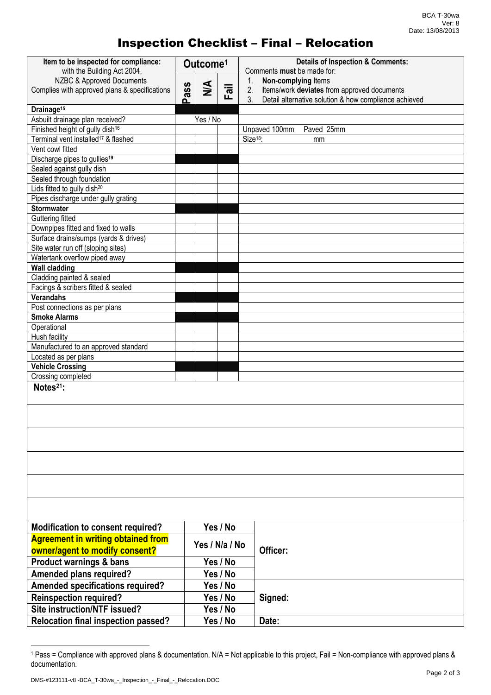## Inspection Checklist – Final – Relocation

| Item to be inspected for compliance:<br>with the Building Act 2004,            | Outcome <sup>1</sup> |                |          | <b>Details of Inspection &amp; Comments:</b><br>Comments must be made for: |  |  |
|--------------------------------------------------------------------------------|----------------------|----------------|----------|----------------------------------------------------------------------------|--|--|
| NZBC & Approved Documents                                                      |                      |                |          | Non-complying Items<br>1.                                                  |  |  |
| Complies with approved plans & specifications                                  | <b>SSP</b>           | $\leq$         | Fail     | 2.<br>Items/work deviates from approved documents                          |  |  |
|                                                                                | ൨                    |                |          | 3 <sub>1</sub><br>Detail alternative solution & how compliance achieved    |  |  |
| Drainage <sup>15</sup>                                                         |                      |                |          |                                                                            |  |  |
| Asbuilt drainage plan received?                                                |                      | Yes / No       |          |                                                                            |  |  |
| Finished height of gully dish <sup>16</sup>                                    |                      |                |          | Paved 25mm<br>Unpaved 100mm                                                |  |  |
| Terminal vent installed <sup>17</sup> & flashed                                |                      |                |          | Size <sup>18</sup> :<br>mm                                                 |  |  |
| Vent cowl fitted                                                               |                      |                |          |                                                                            |  |  |
| Discharge pipes to gullies <sup>19</sup>                                       |                      |                |          |                                                                            |  |  |
| Sealed against gully dish                                                      |                      |                |          |                                                                            |  |  |
| Sealed through foundation                                                      |                      |                |          |                                                                            |  |  |
| Lids fitted to gully dish <sup>20</sup><br>Pipes discharge under gully grating |                      |                |          |                                                                            |  |  |
| <b>Stormwater</b>                                                              |                      |                |          |                                                                            |  |  |
| Guttering fitted                                                               |                      |                |          |                                                                            |  |  |
| Downpipes fitted and fixed to walls                                            |                      |                |          |                                                                            |  |  |
| Surface drains/sumps (yards & drives)                                          |                      |                |          |                                                                            |  |  |
| Site water run off (sloping sites)                                             |                      |                |          |                                                                            |  |  |
| Watertank overflow piped away                                                  |                      |                |          |                                                                            |  |  |
| <b>Wall cladding</b>                                                           |                      |                |          |                                                                            |  |  |
| Cladding painted & sealed                                                      |                      |                |          |                                                                            |  |  |
| Facings & scribers fitted & sealed                                             |                      |                |          |                                                                            |  |  |
| <b>Verandahs</b>                                                               |                      |                |          |                                                                            |  |  |
| Post connections as per plans                                                  |                      |                |          |                                                                            |  |  |
| <b>Smoke Alarms</b>                                                            |                      |                |          |                                                                            |  |  |
| Operational                                                                    |                      |                |          |                                                                            |  |  |
| Hush facility                                                                  |                      |                |          |                                                                            |  |  |
| Manufactured to an approved standard                                           |                      |                |          |                                                                            |  |  |
| Located as per plans                                                           |                      |                |          |                                                                            |  |  |
| <b>Vehicle Crossing</b>                                                        |                      |                |          |                                                                            |  |  |
| Crossing completed                                                             |                      |                |          |                                                                            |  |  |
| Notes <sup>21</sup> :                                                          |                      |                |          |                                                                            |  |  |
|                                                                                |                      |                |          |                                                                            |  |  |
|                                                                                |                      |                |          |                                                                            |  |  |
|                                                                                |                      |                |          |                                                                            |  |  |
|                                                                                |                      |                |          |                                                                            |  |  |
|                                                                                |                      |                |          |                                                                            |  |  |
|                                                                                |                      |                |          |                                                                            |  |  |
|                                                                                |                      |                |          |                                                                            |  |  |
|                                                                                |                      |                |          |                                                                            |  |  |
|                                                                                |                      |                |          |                                                                            |  |  |
|                                                                                |                      |                |          |                                                                            |  |  |
|                                                                                |                      |                |          |                                                                            |  |  |
|                                                                                |                      |                |          |                                                                            |  |  |
| <b>Modification to consent required?</b>                                       |                      |                | Yes / No |                                                                            |  |  |
| <b>Agreement in writing obtained from</b>                                      |                      | Yes / N/a / No |          |                                                                            |  |  |
| owner/agent to modify consent?                                                 |                      |                |          | Officer:                                                                   |  |  |
| <b>Product warnings &amp; bans</b>                                             |                      |                | Yes / No |                                                                            |  |  |
| Amended plans required?                                                        |                      |                | Yes / No |                                                                            |  |  |
| <b>Amended specifications required?</b>                                        |                      |                | Yes / No |                                                                            |  |  |
| <b>Reinspection required?</b>                                                  |                      |                | Yes / No | Signed:                                                                    |  |  |
| Site instruction/NTF issued?                                                   |                      |                |          |                                                                            |  |  |
|                                                                                |                      |                | Yes / No |                                                                            |  |  |
| <b>Relocation final inspection passed?</b>                                     |                      |                | Yes / No | Date:                                                                      |  |  |

<sup>1</sup> Pass = Compliance with approved plans & documentation, N/A = Not applicable to this project, Fail = Non-compliance with approved plans & documentation.